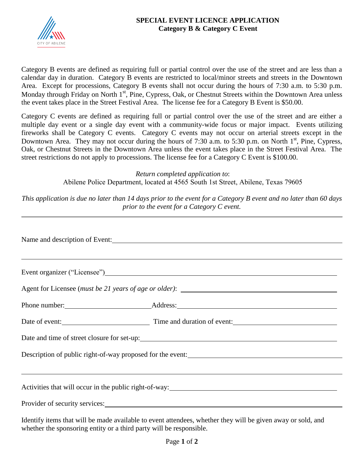

## **SPECIAL EVENT LICENCE APPLICATION Category B & Category C Event**

Category B events are defined as requiring full or partial control over the use of the street and are less than a calendar day in duration. Category B events are restricted to local/minor streets and streets in the Downtown Area. Except for processions, Category B events shall not occur during the hours of 7:30 a.m. to 5:30 p.m. Monday through Friday on North 1<sup>st</sup>, Pine, Cypress, Oak, or Chestnut Streets within the Downtown Area unless the event takes place in the Street Festival Area. The license fee for a Category B Event is \$50.00.

Category C events are defined as requiring full or partial control over the use of the street and are either a multiple day event or a single day event with a community-wide focus or major impact. Events utilizing fireworks shall be Category C events. Category C events may not occur on arterial streets except in the Downtown Area. They may not occur during the hours of 7:30 a.m. to 5:30 p.m. on North 1<sup>st</sup>, Pine, Cypress, Oak, or Chestnut Streets in the Downtown Area unless the event takes place in the Street Festival Area. The street restrictions do not apply to processions. The license fee for a Category C Event is \$100.00.

> *Return completed application to*: Abilene Police Department, located at 4565 South 1st Street, Abilene, Texas 79605

*This application is due no later than 14 days prior to the event for a Category B event and no later than 60 days prior to the event for a Category C event.* 

| Name and description of Event:                                                                                           |  |  |  |
|--------------------------------------------------------------------------------------------------------------------------|--|--|--|
|                                                                                                                          |  |  |  |
|                                                                                                                          |  |  |  |
|                                                                                                                          |  |  |  |
| Date of event: Time and duration of event:                                                                               |  |  |  |
|                                                                                                                          |  |  |  |
| Description of public right-of-way proposed for the event:                                                               |  |  |  |
|                                                                                                                          |  |  |  |
| Activities that will occur in the public right-of-way:<br><u>Lettivities</u> that will occur in the public right-of-way: |  |  |  |
|                                                                                                                          |  |  |  |

Identify items that will be made available to event attendees, whether they will be given away or sold, and whether the sponsoring entity or a third party will be responsible.